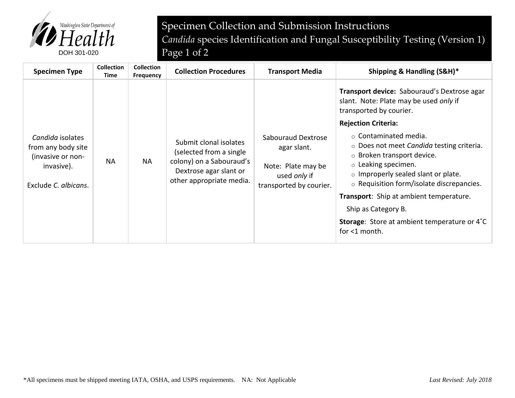

Specimen Collection and Submission Instructions *Candida* species Identification and Fungal Susceptibility Testing (Version 1)

| <b>Specimen Type</b>                                                                              | <b>Collection</b><br>Time | <b>Collection</b><br><b>Frequency</b> | <b>Collection Procedures</b>                                                                                                        | <b>Transport Media</b>                                                                                    | Shipping & Handling (S&H)*                                                                                                                                                                                                                                                                                                                                                                         |
|---------------------------------------------------------------------------------------------------|---------------------------|---------------------------------------|-------------------------------------------------------------------------------------------------------------------------------------|-----------------------------------------------------------------------------------------------------------|----------------------------------------------------------------------------------------------------------------------------------------------------------------------------------------------------------------------------------------------------------------------------------------------------------------------------------------------------------------------------------------------------|
| Candida isolates<br>from any body site<br>(invasive or non-<br>invasive).<br>Exclude C. albicans. | <b>NA</b>                 | <b>NA</b>                             | Submit clonal isolates<br>(selected from a single<br>colony) on a Sabouraud's<br>Dextrose agar slant or<br>other appropriate media. | <b>Sabouraud Dextrose</b><br>agar slant.<br>Note: Plate may be<br>used only if<br>transported by courier. | Transport device: Sabouraud's Dextrose agar<br>slant. Note: Plate may be used only if<br>transported by courier.<br><b>Rejection Criteria:</b><br>$\circ$ Contaminated media.<br>$\circ$ Does not meet <i>Candida</i> testing criteria.<br>○ Broken transport device.<br>$\circ$ Leaking specimen.<br>$\circ$ Improperly sealed slant or plate.<br>$\circ$ Requisition form/isolate discrepancies. |
|                                                                                                   |                           |                                       |                                                                                                                                     |                                                                                                           | Transport: Ship at ambient temperature.                                                                                                                                                                                                                                                                                                                                                            |
|                                                                                                   |                           |                                       |                                                                                                                                     |                                                                                                           | Ship as Category B.                                                                                                                                                                                                                                                                                                                                                                                |
|                                                                                                   |                           |                                       |                                                                                                                                     |                                                                                                           | <b>Storage:</b> Store at ambient temperature or 4°C<br>for <1 month.                                                                                                                                                                                                                                                                                                                               |